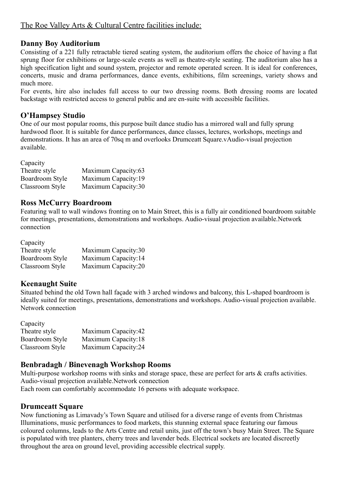# **Danny Boy Auditorium**

Consisting of a 221 fully retractable tiered seating system, the auditorium offers the choice of having a flat sprung floor for exhibitions or large-scale events as well as theatre-style seating. The auditorium also has a high specification light and sound system, projector and remote operated screen. It is ideal for conferences, concerts, music and drama performances, dance events, exhibitions, film screenings, variety shows and much more.

For events, hire also includes full access to our two dressing rooms. Both dressing rooms are located backstage with restricted access to general public and are en-suite with accessible facilities.

### **O'Hampsey Studio**

One of our most popular rooms, this purpose built dance studio has a mirrored wall and fully sprung hardwood floor. It is suitable for dance performances, dance classes, lectures, workshops, meetings and demonstrations. It has an area of 70sq m and overlooks Drumceatt Square.vAudio-visual projection available.

Capacity

| Theatre style   | Maximum Capacity:63 |
|-----------------|---------------------|
| Boardroom Style | Maximum Capacity:19 |
| Classroom Style | Maximum Capacity:30 |

### **Ross McCurry Boardroom**

Featuring wall to wall windows fronting on to Main Street, this is a fully air conditioned boardroom suitable for meetings, presentations, demonstrations and workshops. Audio-visual projection available.Network connection

| Capacity        |                     |
|-----------------|---------------------|
| Theatre style   | Maximum Capacity:30 |
| Boardroom Style | Maximum Capacity:14 |
| Classroom Style | Maximum Capacity:20 |

# **Keenaught Suite**

Situated behind the old Town hall façade with 3 arched windows and balcony, this L-shaped boardroom is ideally suited for meetings, presentations, demonstrations and workshops. Audio-visual projection available. Network connection

Capacity Theatre style Maximum Capacity:42 Boardroom Style Maximum Capacity:18 Classroom Style Maximum Capacity:24

### **Benbradagh / Binevenagh Workshop Rooms**

Multi-purpose workshop rooms with sinks and storage space, these are perfect for arts & crafts activities. Audio-visual projection available.Network connection

Each room can comfortably accommodate 16 persons with adequate workspace.

### **Drumceatt Square**

Now functioning as Limavady's Town Square and utilised for a diverse range of events from Christmas Illuminations, music performances to food markets, this stunning external space featuring our famous coloured columns, leads to the Arts Centre and retail units, just off the town's busy Main Street. The Square is populated with tree planters, cherry trees and lavender beds. Electrical sockets are located discreetly throughout the area on ground level, providing accessible electrical supply.